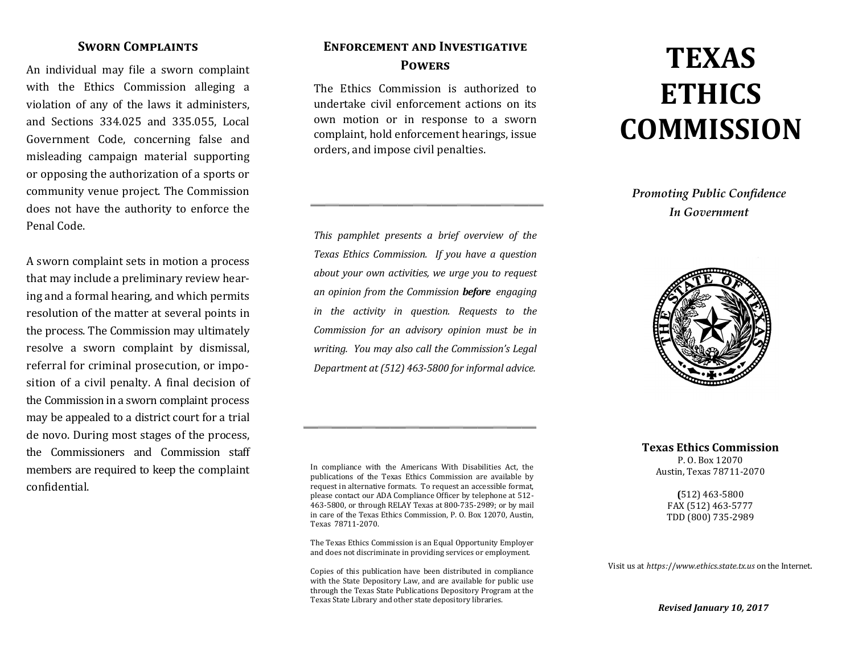### **Sworn Complaints**

An individual may file a sworn complaint with the Ethics Commission alleging a violation of any of the laws it administers, and Sections 334.025 and 335.055, Local Government Code, concerning false and misleading campaign material supporting or opposing the authorization of a sports or community venue project. The Commission does not have the authority to enforce the Penal Code.

A sworn complaint sets in motion a process that may include a preliminary review hearing and a formal hearing, and which permits resolution of the matter at several points in the process. The Commission may ultimately resolve a sworn complaint by dismissal, referral for criminal prosecution, or imposition of a civil penalty. A final decision of the Commission in a sworn complaint process may be appealed to a district court for a trial de novo. During most stages of the process, the Commissioners and Commission staff members are required to keep the complaint confidential.

## **Enforcement and Investigative Powers**

The Ethics Commission is authorized to undertake civil enforcement actions on its own motion or in response to a sworn complaint, hold enforcement hearings, issue orders, and impose civil penalties.

*This pamphlet presents a brief overview of the Texas Ethics Commission. If you have a question about your own activities, we urge you to request an opinion from the Commission before engaging in the activity in question. Requests to the Commission for an advisory opinion must be in writing. You may also call the Commission's Legal Department at (512) 463-5800 for informal advice.*

In compliance with the Americans With Disabilities Act, the publications of the Texas Ethics Commission are available by request in alternative formats. To request an accessible format, please contact our ADA Compliance Officer by telephone at 512- 463-5800, or through RELAY Texas at 800-735-2989; or by mail in care of the Texas Ethics Commission, P. O. Box 12070, Austin, Texas 78711-2070.

The Texas Ethics Commission is an Equal Opportunity Employer and does not discriminate in providing services or employment.

Copies of this publication have been distributed in compliance with the State Depository Law, and are available for public use through the Texas State Publications Depository Program at the Texas State Library and other state depository libraries.

# **TEXAS ETHICS COMMISSION**

## *Promoting Public Confidence In Government*



**Texas Ethics Commission** P. O. Box 12070 Austin, Texas 78711-2070

> **(**512) 463-5800 FAX (512) 463-5777 TDD (800) 735-2989

Visit us at *https:*//*www.ethics.state.tx.us* on the Internet.

*Revised January 10, 2017*